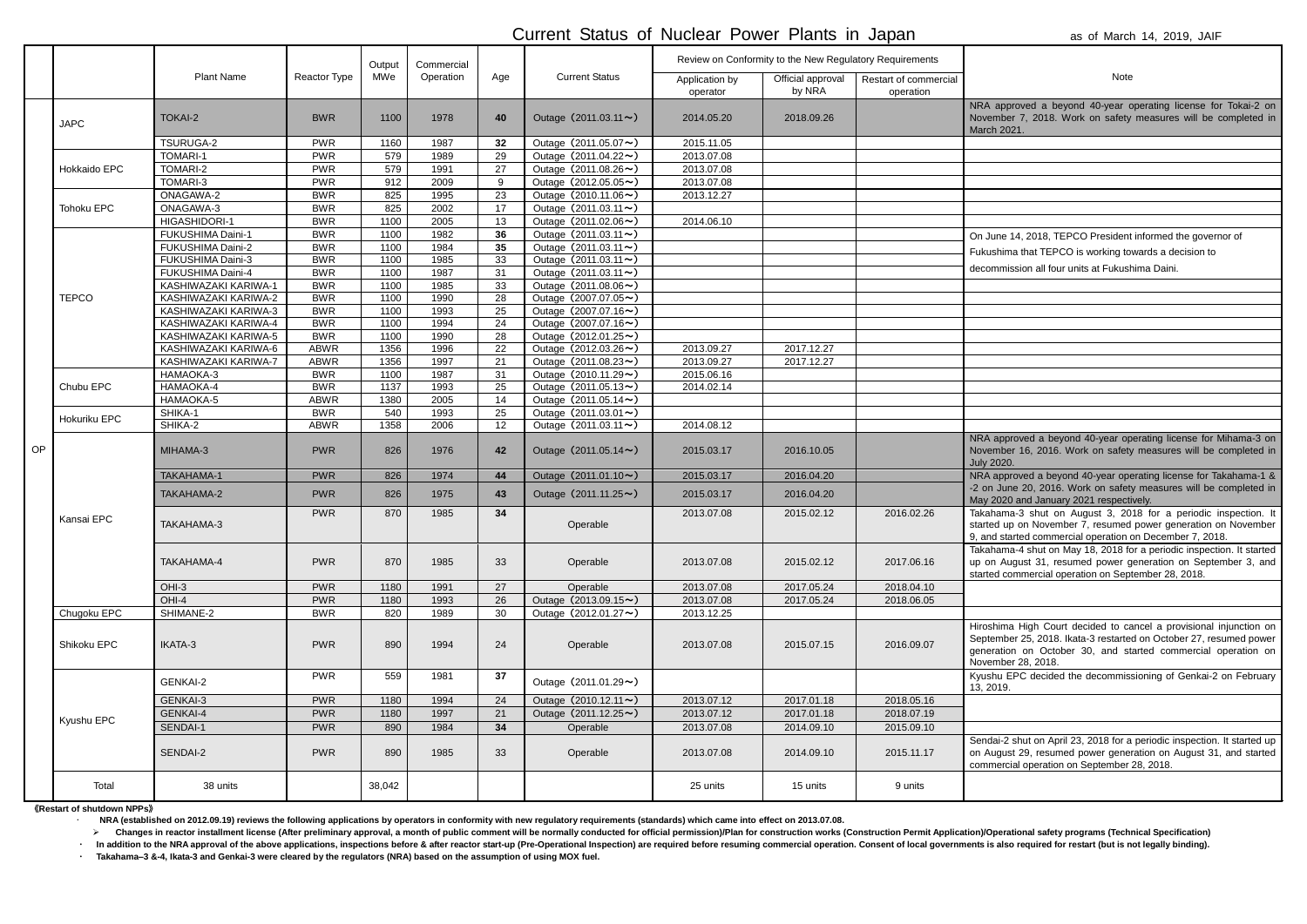|             | NRA approved a beyond 40-year operating license for Tokai-2 on |
|-------------|----------------------------------------------------------------|
|             | November 7, 2018. Work on safety measures will be completed in |
| March 2021. |                                                                |

June 14, 2018, TEPCO President informed the governor of ushima that TEPCO is working towards a decision to ommission all four units at Fukushima Daini.

approved a beyond 40-year operating license for Mihama-3 on ember 16, 2016. Work on safety measures will be completed in 2020.

approved a beyond 40-year operating license for Takahama-1 & 1 June 20, 2016. Work on safety measures will be completed in 2020 and January 2021 respectively.

ahama-3 shut on August 3, 2018 for a periodic inspection. It ted up on November 7, resumed power generation on November nd started commercial operation on December 7, 2018.

ahama-4 shut on May 18, 2018 for a periodic inspection. It started on August 31, resumed power generation on September 3, and ed commercial operation on September 28, 2018.

shima High Court decided to cancel a provisional injunction on tember 25, 2018. Ikata-3 restarted on October 27, resumed power eration on October 30, and started commercial operation on ember 28, 2018.

shu EPC decided the decommissioning of Genkai-2 on February 2019.

dai-2 shut on April 23, 2018 for a periodic inspection. It started up August 29, resumed power generation on August 31, and started mercial operation on September 28, 2018.

## Current Status of Nuclear Power Plants in Japan as of March 14, 2019, JAIF

|    |              |                          |              | Output | Commercial |                 |                                   | Review on Conformity to the New Regulatory Requirements |                             |                                    |                                                                                                                                      |
|----|--------------|--------------------------|--------------|--------|------------|-----------------|-----------------------------------|---------------------------------------------------------|-----------------------------|------------------------------------|--------------------------------------------------------------------------------------------------------------------------------------|
|    |              | <b>Plant Name</b>        | Reactor Type | MWe    | Operation  | Age             | <b>Current Status</b>             | Application by<br>operator                              | Official approval<br>by NRA | Restart of commercial<br>operation | Note                                                                                                                                 |
|    | <b>JAPC</b>  | <b>TOKAI-2</b>           | <b>BWR</b>   | 1100   | 1978       | 40              | Outage $(2011.03.11 \sim)$        | 2014.05.20                                              | 2018.09.26                  |                                    | NRA approved a beyond 40-year o<br>November 7, 2018. Work on safety<br>March 2021.                                                   |
|    |              | TSURUGA-2                | <b>PWR</b>   | 1160   | 1987       | 32              | Outage (2011.05.07~)              | 2015.11.05                                              |                             |                                    |                                                                                                                                      |
|    |              | <b>TOMARI-1</b>          | <b>PWR</b>   | 579    | 1989       | $\overline{29}$ | Outage (2011.04.22~)              | 2013.07.08                                              |                             |                                    |                                                                                                                                      |
|    | Hokkaido EPC | TOMARI-2                 | <b>PWR</b>   | 579    | 1991       | 27              | Outage (2011.08.26~)              | 2013.07.08                                              |                             |                                    |                                                                                                                                      |
|    |              | TOMARI-3                 | <b>PWR</b>   | 912    | 2009       | 9               | Outage $(2012.05.05 \rightarrow)$ | 2013.07.08                                              |                             |                                    |                                                                                                                                      |
|    |              | ONAGAWA-2                | <b>BWR</b>   | 825    | 1995       | 23              | Outage (2010.11.06~)              | 2013.12.27                                              |                             |                                    |                                                                                                                                      |
|    | Tohoku EPC   | ONAGAWA-3                | <b>BWR</b>   | 825    | 2002       | 17              | Outage (2011.03.11~)              |                                                         |                             |                                    |                                                                                                                                      |
|    |              | <b>HIGASHIDORI-1</b>     | <b>BWR</b>   | 1100   | 2005       | 13              | Outage $(2011.02.06 \rightarrow)$ | 2014.06.10                                              |                             |                                    |                                                                                                                                      |
|    |              | <b>FUKUSHIMA Daini-1</b> | <b>BWR</b>   | 1100   | 1982       | 36              | Outage $(2011.03.11 \rightarrow)$ |                                                         |                             |                                    | On June 14, 2018, TEPCO President                                                                                                    |
|    |              | <b>FUKUSHIMA Daini-2</b> | <b>BWR</b>   | 1100   | 1984       | 35              | Outage $(2011.03.11 \rightarrow)$ |                                                         |                             |                                    | Fukushima that TEPCO is working to                                                                                                   |
|    |              | FUKUSHIMA Daini-3        | <b>BWR</b>   | 1100   | 1985       | 33              | Outage $(2011.03.11 \rightarrow)$ |                                                         |                             |                                    |                                                                                                                                      |
|    |              | FUKUSHIMA Daini-4        | <b>BWR</b>   | 1100   | 1987       | 31              | Outage $(2011.03.11 \rightarrow)$ |                                                         |                             |                                    | decommission all four units at Fukush                                                                                                |
|    |              | KASHIWAZAKI KARIWA-1     | <b>BWR</b>   | 1100   | 1985       | 33              | Outage $(2011.08.06 \rightarrow)$ |                                                         |                             |                                    |                                                                                                                                      |
|    | <b>TEPCO</b> | KASHIWAZAKI KARIWA-2     | <b>BWR</b>   | 1100   | 1990       | 28              | Outage $(2007.07.05 \rightarrow)$ |                                                         |                             |                                    |                                                                                                                                      |
|    |              | KASHIWAZAKI KARIWA-3     | <b>BWR</b>   | 1100   | 1993       | 25              | Outage (2007.07.16~)              |                                                         |                             |                                    |                                                                                                                                      |
|    |              | KASHIWAZAKI KARIWA-4     | <b>BWR</b>   | 1100   | 1994       | 24              | Outage $(2007.07.16 \sim)$        |                                                         |                             |                                    |                                                                                                                                      |
|    |              | KASHIWAZAKI KARIWA-5     | <b>BWR</b>   | 1100   | 1990       | 28              | Outage $(2012.01.25 \rightarrow)$ |                                                         |                             |                                    |                                                                                                                                      |
|    |              | KASHIWAZAKI KARIWA-6     | <b>ABWR</b>  | 1356   | 1996       | 22              | Outage $(2012.03.26 \rightarrow)$ | 2013.09.27                                              | 2017.12.27                  |                                    |                                                                                                                                      |
|    |              | KASHIWAZAKI KARIWA-7     | <b>ABWR</b>  | 1356   | 1997       | 21              | Outage (2011.08.23~)              | 2013.09.27                                              | 2017.12.27                  |                                    |                                                                                                                                      |
|    |              | HAMAOKA-3                | <b>BWR</b>   | 1100   | 1987       | 31              | Outage (2010.11.29~)              | 2015.06.16                                              |                             |                                    |                                                                                                                                      |
|    | Chubu EPC    | HAMAOKA-4                | <b>BWR</b>   | 1137   | 1993       | 25              | Outage (2011.05.13~)              | 2014.02.14                                              |                             |                                    |                                                                                                                                      |
|    |              | HAMAOKA-5                | <b>ABWR</b>  | 1380   | 2005       | 14              | Outage (2011.05.14~)              |                                                         |                             |                                    |                                                                                                                                      |
|    |              | SHIKA-1                  | <b>BWR</b>   | 540    | 1993       | 25              | Outage $(2011.03.01 \rightarrow)$ |                                                         |                             |                                    |                                                                                                                                      |
|    | Hokuriku EPC | SHIKA-2                  | <b>ABWR</b>  | 1358   | 2006       | 12              | Outage (2011.03.11~)              | 2014.08.12                                              |                             |                                    |                                                                                                                                      |
| OP | Kansai EPC   | MIHAMA-3                 | <b>PWR</b>   | 826    | 1976       | 42              | Outage $(2011.05.14 \sim)$        | 2015.03.17                                              | 2016.10.05                  |                                    | NRA approved a beyond 40-year op<br>November 16, 2016. Work on safety<br><b>July 2020.</b>                                           |
|    |              | TAKAHAMA-1               | <b>PWR</b>   | 826    | 1974       | 44              | Outage $(2011.01.10 \sim)$        | 2015.03.17                                              | 2016.04.20                  |                                    | NRA approved a beyond 40-year ope                                                                                                    |
|    |              | TAKAHAMA-2               | <b>PWR</b>   | 826    | 1975       | 43              | Outage $(2011.11.25 \rightarrow)$ | 2015.03.17                                              | 2016.04.20                  |                                    | -2 on June 20, 2016. Work on safet<br>May 2020 and January 2021 respecti                                                             |
|    |              | TAKAHAMA-3               | <b>PWR</b>   | 870    | 1985       | 34              | Operable                          | 2013.07.08                                              | 2015.02.12                  | 2016.02.26                         | Takahama-3 shut on August 3, 20<br>started up on November 7, resumed<br>9, and started commercial operation o                        |
|    |              | TAKAHAMA-4               | <b>PWR</b>   | 870    | 1985       | 33              | Operable                          | 2013.07.08                                              | 2015.02.12                  | 2017.06.16                         | Takahama-4 shut on May 18, 2018 fo<br>up on August 31, resumed power g<br>started commercial operation on Sep                        |
|    |              | $OHI-3$                  | <b>PWR</b>   | 1180   | 1991       | 27              | Operable                          | 2013.07.08                                              | 2017.05.24                  | 2018.04.10                         |                                                                                                                                      |
|    |              | OHI-4                    | <b>PWR</b>   | 1180   | 1993       | 26              | Outage $(2013.09.15 \rightarrow)$ | 2013.07.08                                              | 2017.05.24                  | 2018.06.05                         |                                                                                                                                      |
|    | Chugoku EPC  | SHIMANE-2                | <b>BWR</b>   | 820    | 1989       | 30              | Outage $(2012.01.27 \rightarrow)$ | 2013.12.25                                              |                             |                                    |                                                                                                                                      |
|    | Shikoku EPC  | IKATA-3                  | <b>PWR</b>   | 890    | 1994       | 24              | Operable                          | 2013.07.08                                              | 2015.07.15                  | 2016.09.07                         | Hiroshima High Court decided to ca<br>September 25, 2018. Ikata-3 restarte<br>generation on October 30, and st<br>November 28, 2018. |
|    |              | GENKAI-2                 | <b>PWR</b>   | 559    | 1981       | 37              | Outage $(2011.01.29 \rightarrow)$ |                                                         |                             |                                    | Kyushu EPC decided the decommis<br>13, 2019.                                                                                         |
|    |              | GENKAI-3                 | <b>PWR</b>   | 1180   | 1994       | 24              | Outage $(2010.12.11 \rightarrow)$ | 2013.07.12                                              | 2017.01.18                  | 2018.05.16                         |                                                                                                                                      |
|    |              | GENKAI-4                 | <b>PWR</b>   | 1180   | 1997       | 21              | Outage $(2011.12.25 \rightarrow)$ | 2013.07.12                                              | 2017.01.18                  | 2018.07.19                         |                                                                                                                                      |
|    | Kyushu EPC   | SENDAI-1                 | <b>PWR</b>   | 890    | 1984       | 34              | Operable                          | 2013.07.08                                              | 2014.09.10                  | 2015.09.10                         |                                                                                                                                      |
|    |              | SENDAI-2                 | <b>PWR</b>   | 890    | 1985       | 33              | Operable                          | 2013.07.08                                              | 2014.09.10                  | 2015.11.17                         | Sendai-2 shut on April 23, 2018 for a<br>on August 29, resumed power gene<br>commercial operation on September                       |
|    | Total        | 38 units                 |              | 38,042 |            |                 |                                   | 25 units                                                | 15 units                    | 9 units                            |                                                                                                                                      |

《**Restart of shutdown NPPs**》

**NRA (established on 2012.09.19) reviews the following applications by operators in conformity with new regulatory requirements (standards) which came into effect on 2013.07.08.** 

> Changes in reactor installment license (After preliminary approval, a month of public comment will be normally conducted for official permission)/Plan for construction works (Construction Permit Application)/Operational

· In addition to the NRA approval of the above applications, inspections before & after reactor start-up (Pre-Operational Inspection) are required before resuming commercial operation. Consent of local governments is also

・ **Takahama–3 &-4, Ikata-3 and Genkai-3 were cleared by the regulators (NRA) based on the assumption of using MOX fuel.**